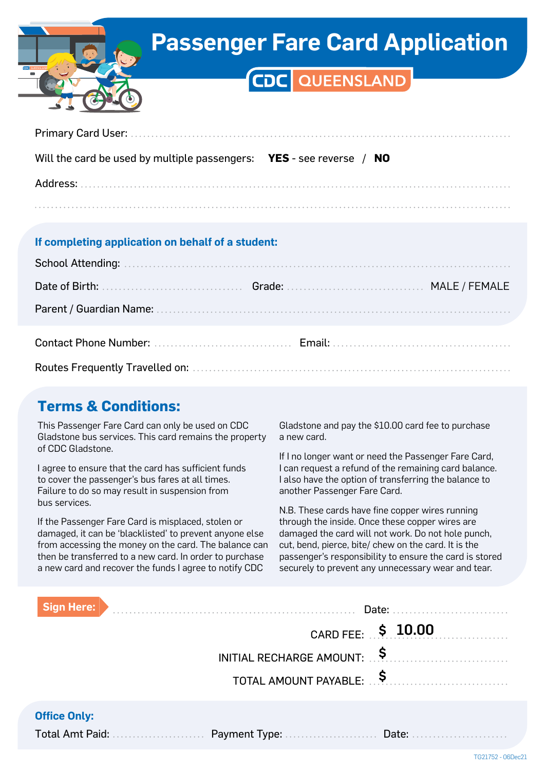

## **Passenger Fare Card Application**

## CDC QUEENSLAND

| Will the card be used by multiple passengers: $YES - see reverse / NO$ |  |  |  |  |
|------------------------------------------------------------------------|--|--|--|--|
|                                                                        |  |  |  |  |
|                                                                        |  |  |  |  |

#### **If completing application on behalf of a student:**

### **Terms & Conditions:**

This Passenger Fare Card can only be used on CDC Gladstone bus services. This card remains the property of CDC Gladstone.

I agree to ensure that the card has sufficient funds to cover the passenger's bus fares at all times. Failure to do so may result in suspension from bus services.

If the Passenger Fare Card is misplaced, stolen or damaged, it can be 'blacklisted' to prevent anyone else from accessing the money on the card. The balance can then be transferred to a new card. In order to purchase a new card and recover the funds I agree to notify CDC

Gladstone and pay the \$10.00 card fee to purchase a new card.

If I no longer want or need the Passenger Fare Card, I can request a refund of the remaining card balance. I also have the option of transferring the balance to another Passenger Fare Card.

N.B. These cards have fine copper wires running through the inside. Once these copper wires are damaged the card will not work. Do not hole punch, cut, bend, pierce, bite/ chew on the card. It is the passenger's responsibility to ensure the card is stored securely to prevent any unnecessary wear and tear.

| <b>Sign Here:</b>   | Date:                                   |
|---------------------|-----------------------------------------|
|                     | CARD FEE: \$ 10.00                      |
|                     | INITIAL RECHARGE AMOUNT: $\overline{S}$ |
|                     | TOTAL AMOUNT PAYABLE:                   |
| <b>Office Only:</b> |                                         |

Total Amt Paid: Payment Type: Date: